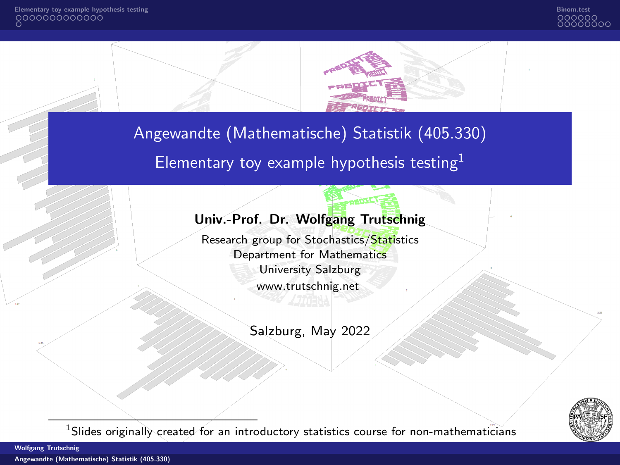



<span id="page-0-0"></span>Angewandte (Mathematische) Statistik (405.330)

Elementary toy example hypothesis testing $<sup>1</sup>$ </sup>

### Univ.-Prof. Dr. Wolfgang Trutschnig

Research group for Stochastics/Statistics Department for Mathematics University Salzburg [www.trutschnig.net](http://www.trutschnig.net)

Salzburg, May 2022



<sup>1</sup>Slides originally created for an introductory statistics course for non-mathematicians

Wolfgang Trutschnig

[Angewandte \(Mathematische\) Statistik \(405.330\)](#page-28-0)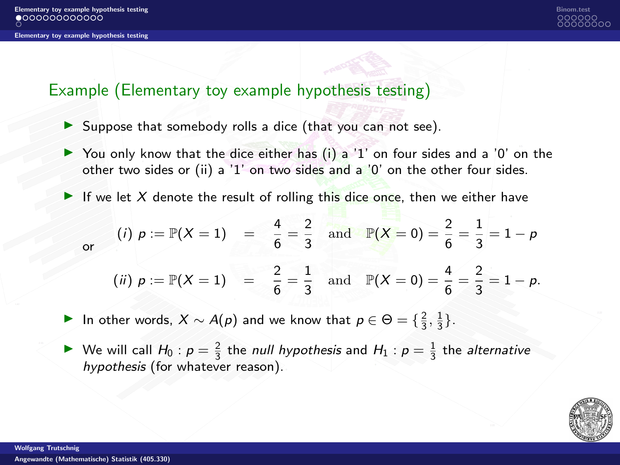

### <span id="page-1-0"></span>Example (Elementary toy example hypothesis testing)

- ▶ Suppose that somebody rolls a dice (that you can not see).
- $\triangleright$  You only know that the dice either has (i) a '1' on four sides and a '0' on the other two sides or (ii) a '1' on two sides and a '0' on the other four sides.
- If we let X denote the result of rolling this dice once, then we either have

(i) 
$$
p := \mathbb{P}(X = 1) = \frac{4}{6} = \frac{2}{3}
$$
 and  $\mathbb{P}(X = 0) = \frac{2}{6} = \frac{1}{3} = 1 - p$ 

(*ii*) 
$$
p := \mathbb{P}(X = 1) = \frac{2}{6} = \frac{1}{3}
$$
 and  $\mathbb{P}(X = 0) = \frac{4}{6} = \frac{2}{3} = 1 - p$ .

▶ In other words,  $X \sim A(p)$  and we know that  $p \in \Theta = \{\frac{2}{3}, \frac{1}{3}\}.$ 

▶ We will call  $H_0: p = \frac{2}{3}$  the null hypothesis and  $H_1: p = \frac{1}{3}$  the alternative hypothesis (for whatever reason).



or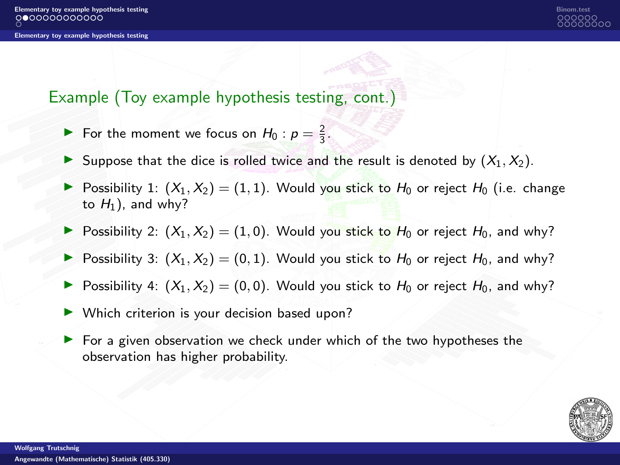## Example (Toy example hypothesis testing, cont.)

- ▶ For the moment we focus on  $H_0: p = \frac{2}{3}$ .
- **E** Suppose that the dice is rolled twice and the result is denoted by  $(X_1, X_2)$ .
- Possibility 1:  $(X_1, X_2) = (1, 1)$ . Would you stick to  $H_0$  or reject  $H_0$  (i.e. change to  $H_1$ ), and why?
- Possibility 2:  $(X_1, X_2) = (1, 0)$ . Would you stick to  $H_0$  or reject  $H_0$ , and why?
- **•** Possibility 3:  $(X_1, X_2) = (0, 1)$ . Would you stick to  $H_0$  or reject  $H_0$ , and why?
- Possibility 4:  $(X_1, X_2) = (0, 0)$ . Would you stick to  $H_0$  or reject  $H_0$ , and why?
- ▶ Which criterion is your decision based upon?
- ▶ For a given observation we check under which of the two hypotheses the observation has higher probability.

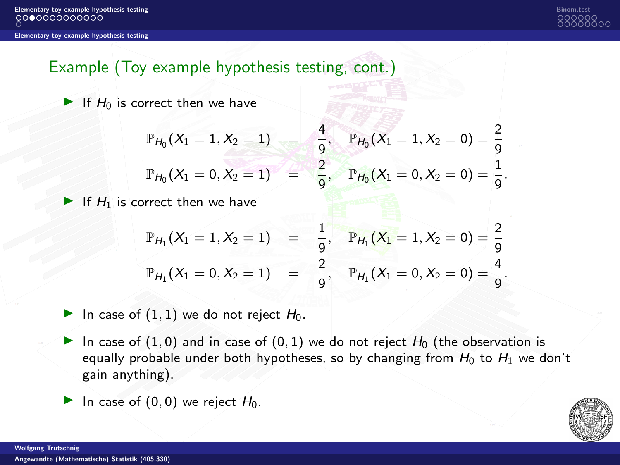

# Example (Toy example hypothesis testing, cont.)

 $\blacktriangleright$  If  $H_0$  is correct then we have

$$
\mathbb{P}_{H_0}(X_1 = 1, X_2 = 1) = \frac{4}{9}, \quad \mathbb{P}_{H_0}(X_1 = 1, X_2 = 0) = \frac{2}{9}
$$
  

$$
\mathbb{P}_{H_0}(X_1 = 0, X_2 = 1) = \frac{2}{9}, \quad \mathbb{P}_{H_0}(X_1 = 0, X_2 = 0) = \frac{1}{9}.
$$

If  $H_1$  is correct then we have

$$
\mathbb{P}_{H_1}(X_1 = 1, X_2 = 1) = \frac{1}{9}, \mathbb{P}_{H_1}(X_1 = 1, X_2 = 0) = \frac{2}{9}
$$
  

$$
\mathbb{P}_{H_1}(X_1 = 0, X_2 = 1) = \frac{2}{9}, \mathbb{P}_{H_1}(X_1 = 0, X_2 = 0) = \frac{4}{9}.
$$

In case of  $(1, 1)$  we do not reject  $H_0$ .

- In case of  $(1, 0)$  and in case of  $(0, 1)$  we do not reject  $H_0$  (the observation is equally probable under both hypotheses, so by changing from  $H_0$  to  $H_1$  we don't gain anything).
- In case of  $(0, 0)$  we reject  $H_0$ .

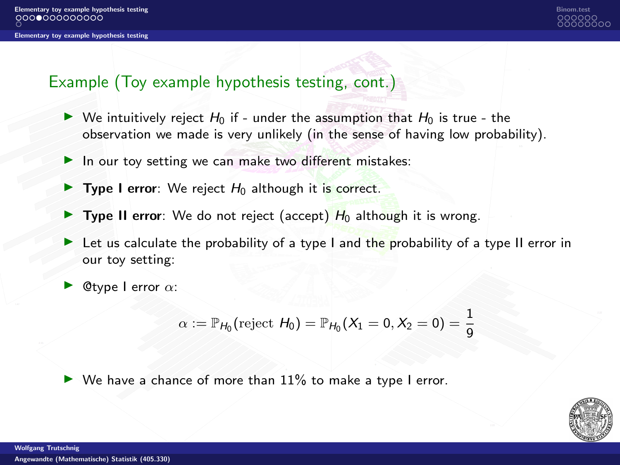

### Example (Toy example hypothesis testing, cont.)

- $\triangleright$  We intuitively reject  $H_0$  if under the assumption that  $H_0$  is true the observation we made is very unlikely (in the sense of having low probability).
- $\blacktriangleright$  In our toy setting we can make two different mistakes:
- $\triangleright$  Type I error: We reject  $H_0$  although it is correct.
- **Type II error**: We do not reject (accept)  $H_0$  although it is wrong.
- $\triangleright$  Let us calculate the probability of a type I and the probability of a type II error in our toy setting:
- **@type I error**  $\alpha$ :

$$
\alpha := \mathbb{P}_{H_0}(\text{reject } H_0) = \mathbb{P}_{H_0}(X_1 = 0, X_2 = 0) = \frac{1}{9}
$$

 $\blacktriangleright$  We have a chance of more than  $11\%$  to make a type I error.

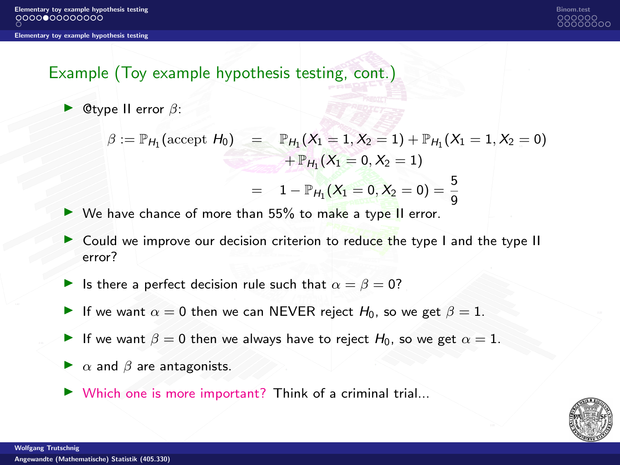# Example (Toy example hypothesis testing, cont.)

 $▶$  @type II error  $\beta$ :

$$
\beta := \mathbb{P}_{H_1}(\text{accept } H_0) = \mathbb{P}_{H_1}(X_1 = 1, X_2 = 1) + \mathbb{P}_{H_1}(X_1 = 1, X_2 = 0) \n+ \mathbb{P}_{H_1}(X_1 = 0, X_2 = 1) \n= 1 - \mathbb{P}_{H_1}(X_1 = 0, X_2 = 0) = \frac{5}{9}
$$

- ▶ We have chance of more than 55% to make a type II error.
- ▶ Could we improve our decision criterion to reduce the type I and the type II error?
- $▶$  Is there a perfect decision rule such that  $\alpha = \beta = 0$ ?
- ▶ If we want  $\alpha = 0$  then we can NEVER reject  $H_0$ , so we get  $\beta = 1$ .
- **►** If we want  $\beta = 0$  then we always have to reject  $H_0$ , so we get  $\alpha = 1$ .
- $\blacktriangleright$   $\alpha$  and  $\beta$  are antagonists.
- $\triangleright$  Which one is more important? Think of a criminal trial...

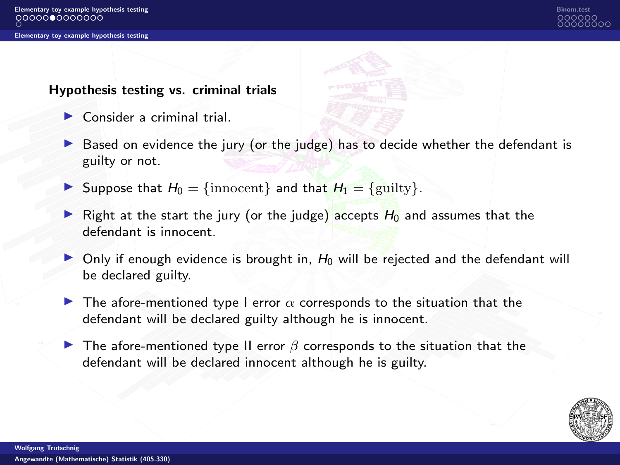#### Hypothesis testing vs. criminal trials

- $\triangleright$  Consider a criminal trial.
- $\triangleright$  Based on evidence the jury (or the judge) has to decide whether the defendant is guilty or not.
- ▶ Suppose that  $H_0 = \{$ innocent} and that  $H_1 = \{$  guilty}.
- Right at the start the jury (or the judge) accepts  $H_0$  and assumes that the defendant is innocent.
- $\triangleright$  Only if enough evidence is brought in,  $H_0$  will be rejected and the defendant will be declared guilty.
- **The afore-mentioned type I error**  $\alpha$  **corresponds to the situation that the** defendant will be declared guilty although he is innocent.
- **▶ The afore-mentioned type II error**  $\beta$  **corresponds to the situation that the** defendant will be declared innocent although he is guilty.

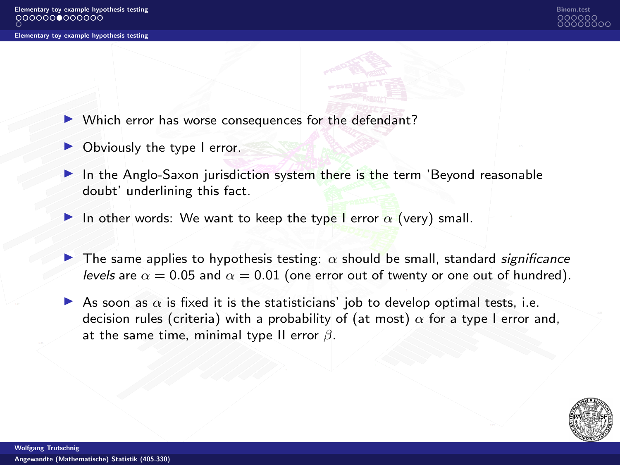

- Which error has worse consequences for the defendant?
- ▶ Obviously the type I error.
- In the Anglo-Saxon jurisdiction system there is the term 'Beyond reasonable doubt' underlining this fact.
- In other words: We want to keep the type I error  $\alpha$  (very) small.
- **The same applies to hypothesis testing:**  $\alpha$  should be small, standard significance levels are  $\alpha = 0.05$  and  $\alpha = 0.01$  (one error out of twenty or one out of hundred).
- As soon as  $\alpha$  is fixed it is the statisticians' job to develop optimal tests, i.e. decision rules (criteria) with a probability of (at most)  $\alpha$  for a type I error and, at the same time, minimal type II error  $\beta$ .

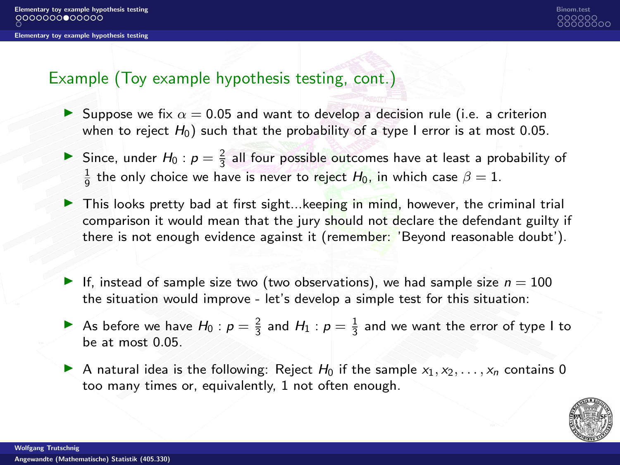[Elementary toy example hypothesis testing](#page-1-0) and the control of the control of the control of the control of the control of the control of the control of the control of the control of the control of the control of the control

[Elementary toy example hypothesis testing](#page-1-0)



### Example (Toy example hypothesis testing, cont.)

- **E** Suppose we fix  $\alpha = 0.05$  and want to develop a decision rule (i.e. a criterion when to reject  $H_0$ ) such that the probability of a type I error is at most 0.05.
- Since, under  $H_0$ :  $p = \frac{2}{3}$  all four possible outcomes have at least a probability of  $\frac{1}{9}$  the only choice we have is never to reject  $H_0$ , in which case  $\beta = 1$ .
- ▶ This looks pretty bad at first sight...keeping in mind, however, the criminal trial comparison it would mean that the jury should not declare the defendant guilty if there is not enough evidence against it (remember: 'Beyond reasonable doubt').
- If, instead of sample size two (two observations), we had sample size  $n = 100$ the situation would improve - let's develop a simple test for this situation:
- As before we have  $H_0: p = \frac{2}{3}$  and  $H_1: p = \frac{1}{3}$  and we want the error of type I to be at most 0.05.
- A natural idea is the following: Reject  $H_0$  if the sample  $x_1, x_2, \ldots, x_n$  contains 0 too many times or, equivalently, 1 not often enough.

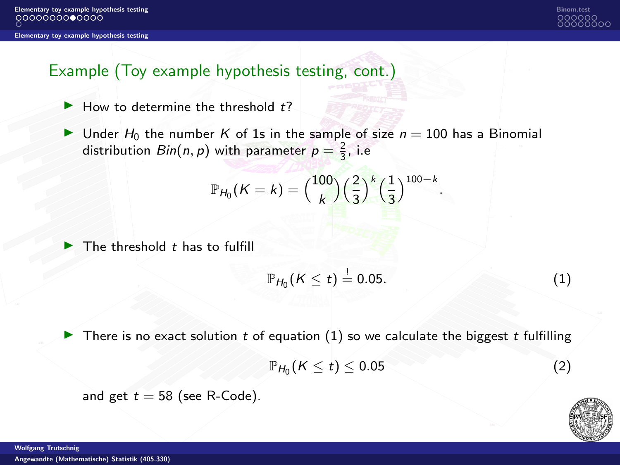

# Example (Toy example hypothesis testing, cont.)

- $\blacktriangleright$  How to determine the threshold  $t$ ?
- $\blacktriangleright$  Under H<sub>0</sub> the number K of 1s in the sample of size  $n = 100$  has a Binomial distribution  $Bin(n, p)$  with parameter  $p = \frac{2}{3}$ , i.e

$$
\mathbb{P}_{H_0}(K=k) = {100 \choose k} \Big(\frac{2}{3}\Big)^k \Big(\frac{1}{3}\Big)^{100-k}.
$$

 $\blacktriangleright$  The threshold t has to fulfill

<span id="page-9-0"></span>
$$
\mathbb{P}_{H_0}(K\leq t)\stackrel{!}{=}0.05.\tag{1}
$$

 $\triangleright$  There is no exact solution t of equation [\(1\)](#page-9-0) so we calculate the biggest t fulfilling

$$
\mathbb{P}_{H_0}(K\leq t)\leq 0.05\tag{2}
$$

and get  $t = 58$  (see R-Code).



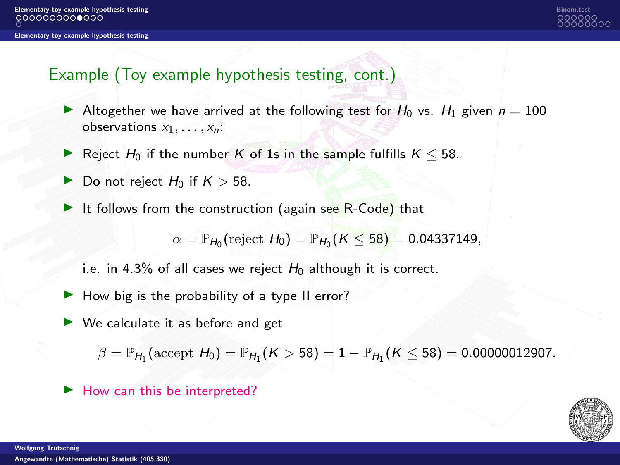

# Example (Toy example hypothesis testing, cont.)

- Altogether we have arrived at the following test for  $H_0$  vs.  $H_1$  given  $n = 100$ observations  $x_1, \ldots, x_n$ :
- ▶ Reject  $H_0$  if the number K of 1s in the sample fulfills  $K \leq 58$ .
- ▶ Do not reject  $H_0$  if  $K > 58$ .
- $\triangleright$  It follows from the construction (again see R-Code) that

 $\alpha = \mathbb{P}_{H_0}(\text{reject } H_0) = \mathbb{P}_{H_0}(K \leq 58) = 0.04337149,$ 

i.e. in 4.3% of all cases we reject  $H_0$  although it is correct.

- $\blacktriangleright$  How big is the probability of a type II error?
- $\triangleright$  We calculate it as before and get

 $\beta = \mathbb{P}_{H_1}(\text{accept } H_0) = \mathbb{P}_{H_1}(K > 58) = 1 - \mathbb{P}_{H_1}(K \le 58) = 0.00000012907.$ 

▶ How can this be interpreted?

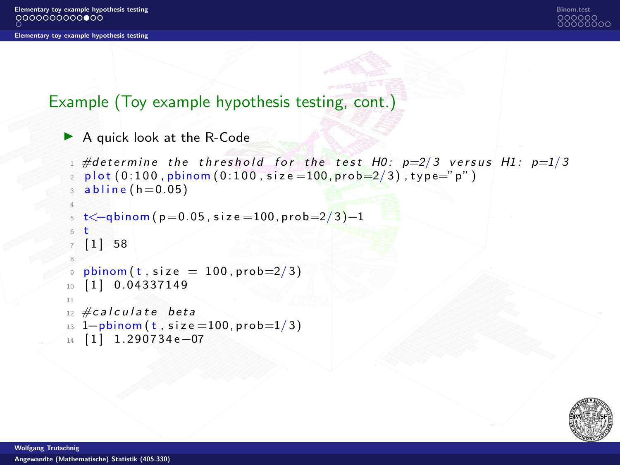

## Example (Toy example hypothesis testing, cont.)

```
▶ A quick look at the R-Code
```

```
#determine the threshold for the test H0: p=2/3 versus H1: p=1/3plot ( 0:100, <i>phinom</i> ( 0:100, <i>size</i> = 100, <i>prob</i> = 2/3 ), type="p")
  abline(h=0.05)4
  t < -q \text{binom}(p = 0.05, \text{size} = 100, \text{prob} = 2/3 - 16 t
   [1] 58
8
  phinom (t, size = 100, prob=2/3)10 [ 1 ] 0.04337149
11
12 \#calcalculate beta
13 \text{ } 1-pbinom (t, size =100, prob=1/3)
14 [ 1 ] 1.290734 e-07
```
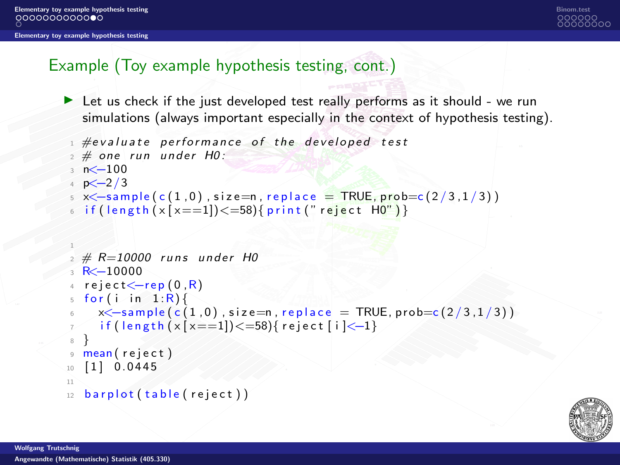[Elementary toy example hypothesis testing](#page-1-0) [Binom.test](#page-15-0)

[Elementary toy example hypothesis testing](#page-1-0)



# Example (Toy example hypothesis testing, cont.)

 $\blacktriangleright$  Let us check if the just developed test really performs as it should - we run simulations (always important especially in the context of hypothesis testing).

```
\frac{1}{1} #evaluate performance of the developed test
2 \# one run under H0:
3 n < -1004 p < -2/35 x \le -sample(c(1,0), size=n, replace = TRUE, probe = (2/3,1/3))6 if (length (x[x == 1]) \le 58) { print (" reject H0") }
2 \# R = 10000 runs under H0
3 R < -10000reject < -ren(0, R)5 for (i \text{ in } 1:R)6 x\leq-sample (c(1,0), size=n, replace = TRUE, probe=c(2/3,1/3))\frac{1}{7} if (length (x[x == 1]) \le 58) { reject [i] \le -1}
8 }
9 mean ( reject )
10 [1] 0.0445
11
12 barplot (table (reject))
```
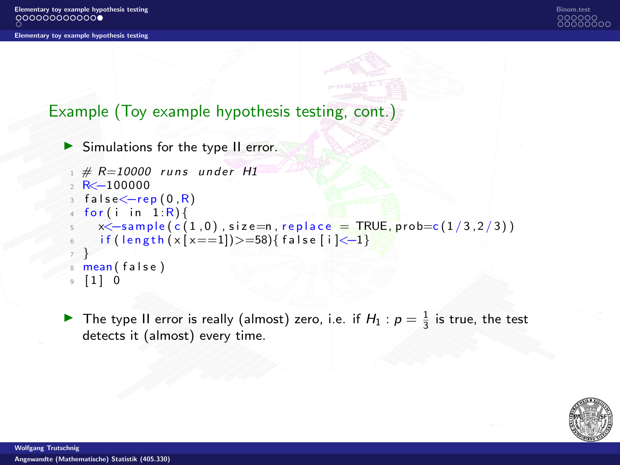

# Example (Toy example hypothesis testing, cont.)

```
▶ Simulations for the type II error.
```

```
1 \# R = 10000 runs under H1
2 R < -100000false \leftarrow rep(0, R)for(i \text{ in } 1:R)x \le -\text{sample}(c(1,0), \text{size=n}, \text{replace} = \text{TRUE}, \text{prob} = c(1/3, 2/3))if (length ( x [ x == 1]) > = 58) { false [ i ] < -1}7 }
  mean ( false )
  \begin{bmatrix} 1 \\ 0 \end{bmatrix}
```
▶ The type II error is really (almost) zero, i.e. if  $H_1$  :  $p = \frac{1}{3}$  is true, the test detects it (almost) every time.

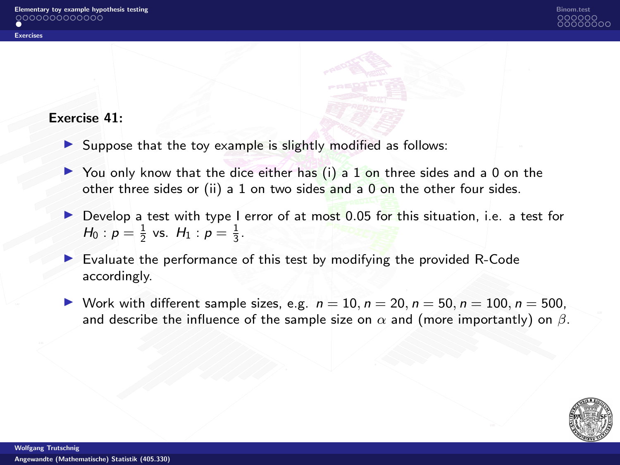

### <span id="page-14-0"></span>Exercise 41:

- $\triangleright$  Suppose that the toy example is slightly modified as follows:
- $\triangleright$  You only know that the dice either has (i) a 1 on three sides and a 0 on the other three sides or (ii) a 1 on two sides and a 0 on the other four sides.
- Develop a test with type I error of at most 0.05 for this situation, i.e. a test for  $H_0: p = \frac{1}{2}$  vs.  $H_1: p = \frac{1}{3}$ .
- ▶ Evaluate the performance of this test by modifying the provided R-Code accordingly.
- ▶ Work with different sample sizes, e.g.  $n = 10$ ,  $n = 20$ ,  $n = 50$ ,  $n = 100$ ,  $n = 500$ , and describe the influence of the sample size on  $\alpha$  and (more importantly) on  $\beta$ .

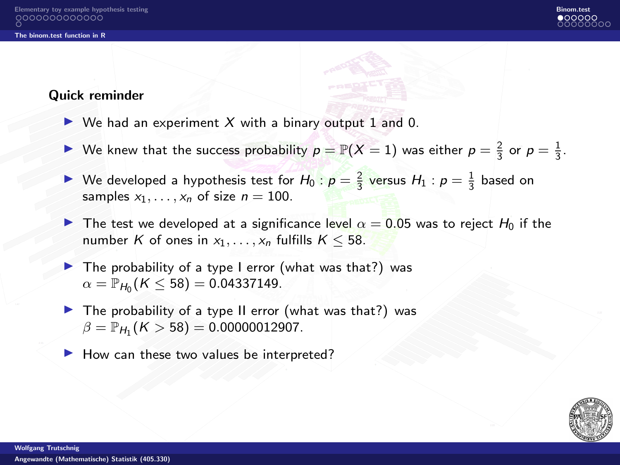

### <span id="page-15-0"></span>Quick reminder

- $\triangleright$  We had an experiment X with a binary output 1 and 0.
- ▶ We knew that the success probability  $p = \mathbb{P}(X = 1)$  was either  $p = \frac{2}{3}$  or  $p = \frac{1}{3}$ .
- ▶ We developed a hypothesis test for  $H_0: p = \frac{2}{3}$  versus  $H_1: p = \frac{1}{3}$  based on samples  $x_1, \ldots, x_n$  of size  $n = 100$ .
- The test we developed at a significance level  $\alpha = 0.05$  was to reject  $H_0$  if the number K of ones in  $x_1, \ldots, x_n$  fulfills  $K \leq 58$ .
- ▶ The probability of a type I error (what was that?) was  $\alpha = \mathbb{P}_{H_0} (K \leq 58) = 0.04337149.$
- $\blacktriangleright$  The probability of a type II error (what was that?) was  $\beta = \mathbb{P}_{H_1} (K > 58) = 0.00000012907.$ 
	- How can these two values be interpreted?

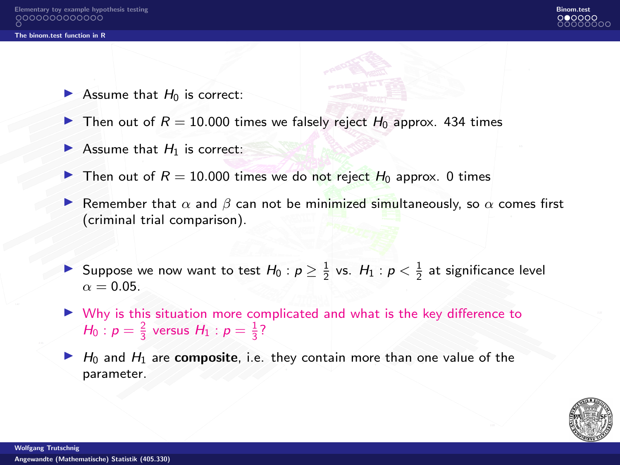

- $\blacktriangleright$  Assume that  $H_0$  is correct:
- $\blacktriangleright$  Then out of  $R = 10.000$  times we falsely reject  $H_0$  approx. 434 times
- $\blacktriangleright$  Assume that  $H_1$  is correct:
- $\blacktriangleright$  Then out of  $R = 10.000$  times we do not reject  $H_0$  approx. 0 times
- **▶ Remember that**  $\alpha$  **and**  $\beta$  **can not be minimized simultaneously, so**  $\alpha$  **comes first** (criminal trial comparison).
- ▶ Suppose we now want to test  $H_0: p \geq \frac{1}{2}$  vs.  $H_1: p < \frac{1}{2}$  at significance level  $\alpha = 0.05$
- ▶ Why is this situation more complicated and what is the key difference to  $H_0: p = \frac{2}{3}$  versus  $H_1: p = \frac{1}{3}$ ?
- $\blacktriangleright$  H<sub>0</sub> and H<sub>1</sub> are **composite**, i.e. they contain more than one value of the parameter.

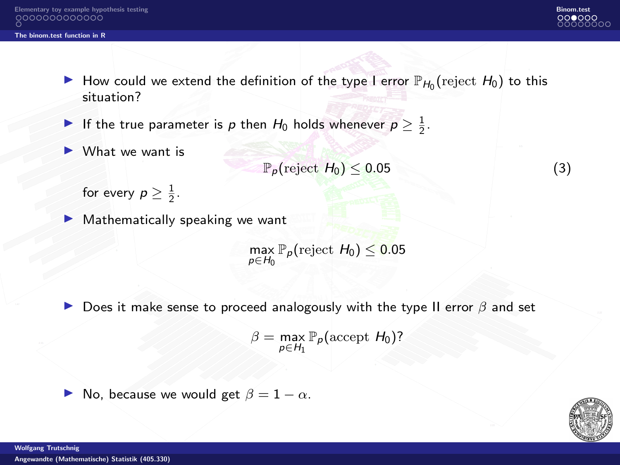

- ▶ How could we extend the definition of the type I error  $\mathbb{P}_{H_0}$  (reject  $H_0$ ) to this situation?
- ▶ If the true parameter is  $p$  then  $H_0$  holds whenever  $p \geq \frac{1}{2}$ .
- ▶ What we want is

 $\mathbb{P}_p(\text{reject } H_0) \leq 0.05$  (3)

for every  $p \geq \frac{1}{2}$ .

Mathematically speaking we want

 $\max_{p \in H_0} \mathbb{P}_p(\text{reject } H_0) \leq 0.05$ 

**▶** Does it make sense to proceed analogously with the type II error  $\beta$  and set

 $\beta = \max_{p \in H_1} \mathbb{P}_p(\text{accept } H_0)$ ?



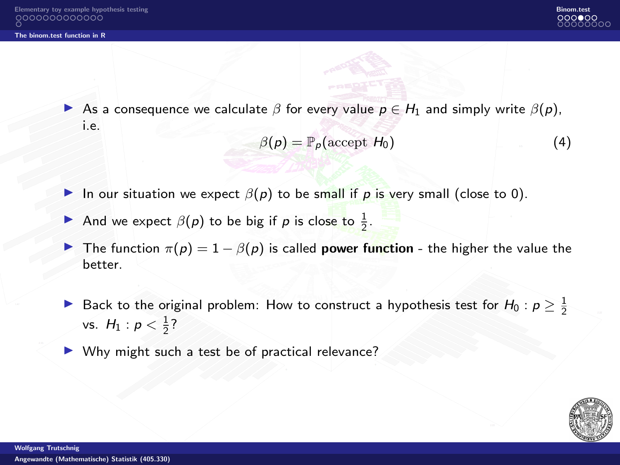[The binom.test function in R](#page-15-0)



As a consequence we calculate  $\beta$  for every value  $p \in H_1$  and simply write  $\beta(p)$ , i.e.

$$
\beta(p) = \mathbb{P}_p(\text{accept } H_0) \tag{4}
$$

- In our situation we expect  $\beta(p)$  to be small if p is very small (close to 0).
- And we expect  $\beta(p)$  to be big if p is close to  $\frac{1}{2}$ .
- **▶** The function  $\pi(p) = 1 \beta(p)$  is called **power function** the higher the value the better.
- ▶ Back to the original problem: How to construct a hypothesis test for  $H_0: p ≥ \frac{1}{2}$ vs.  $H_1: p < \frac{1}{2}$ ?
- ▶ Why might such a test be of practical relevance?

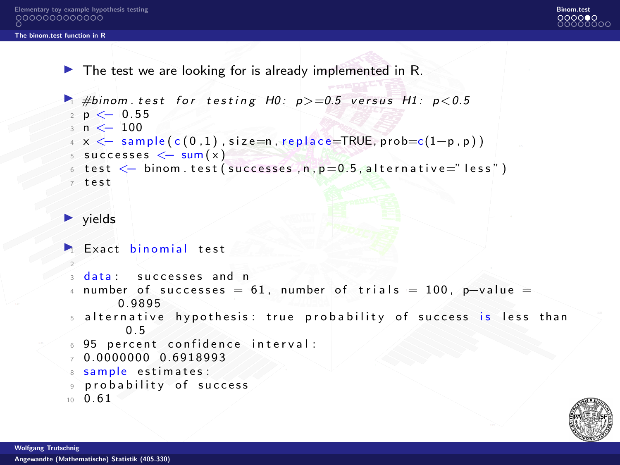[The binom.test function in R](#page-15-0)

 $\blacktriangleright$  The test we are looking for is already implemented in R.

```
\rightarrow #binom test for testing H0; p > = 0.5 versus H1; p < 0.5
 2 p \le -0.553 n <− 100
 4 \times \langle -\ \text{sample}(c(0,1), \text{size=n}, \text{replace=TRUE}, \text{probe}=c(1-p, p)) \rangle5 successes \leq sum(x)6 test \leq binom . test (successes n, p=0.5 alternative="less")
 7 test
\blacktriangleright vields
\blacktriangleright Exact binomial test
 2
 \alpha data : successes and n
 4 number of successes = 61, number of trials = 100, p-value =
        0.9895
 5 alternative hypothesis: true probability of success is less than
          0. 5
 6 95 percent confidence interval:
7.00000000000000038 sample estimates :
 9 probability of success
```

```
10 \t 0 \t 61
```
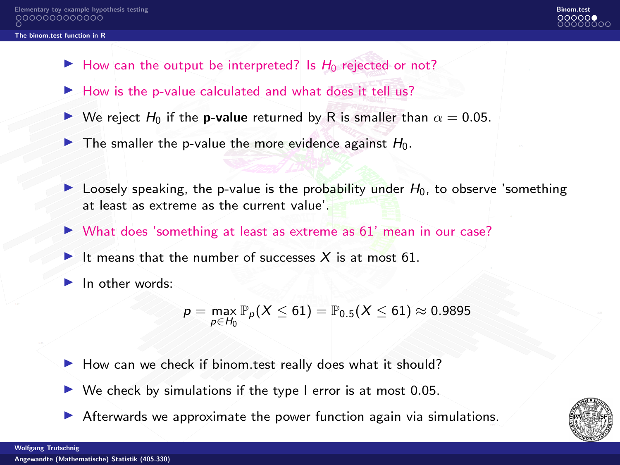#### [The binom.test function in R](#page-15-0)

- $\blacktriangleright$  How can the output be interpreted? Is  $H_0$  rejected or not?
- ▶ How is the p-value calculated and what does it tell us?
- **▶ We reject H<sub>0</sub>** if the **p-value** returned by R is smaller than  $\alpha = 0.05$ .
- $\triangleright$  The smaller the p-value the more evidence against  $H_0$ .
- $\triangleright$  Loosely speaking, the p-value is the probability under  $H_0$ , to observe 'something at least as extreme as the current value'.
- ▶ What does 'something at least as extreme as 61' mean in our case?
- $\blacktriangleright$  It means that the number of successes X is at most 61.
- In other words:

$$
p = \max_{p \in H_0} \mathbb{P}_p(X \leq 61) = \mathbb{P}_{0.5}(X \leq 61) \approx 0.9895
$$

- ▶ How can we check if binom.test really does what it should?
- $\triangleright$  We check by simulations if the type I error is at most 0.05.
- ▶ Afterwards we approximate the power function again via simulations.

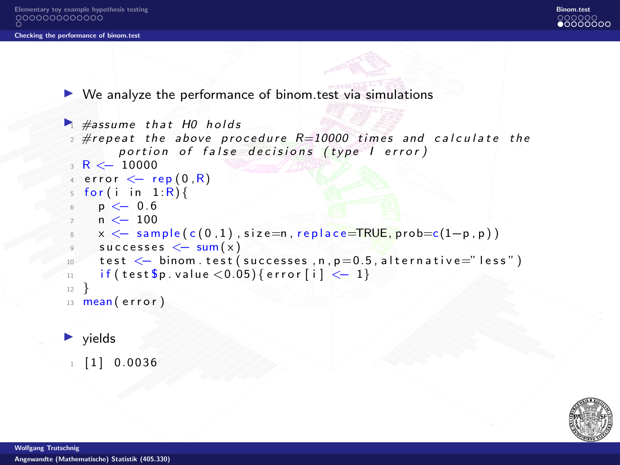<span id="page-21-0"></span>[Elementary toy example hypothesis testing](#page-1-0) [Binom.test](#page-15-0)

#### [Checking the performance of binom.test](#page-21-0)



 $\triangleright$  We analyze the performance of binom test via simulations

```
\blacktriangleright #assume that H0 holds
 2 \text{#repeat} the above procedure R=10000 times and calculate the
        portion of false decisions (type I error)
 3 R < -100004 error \leftarrow rep (0, R)5 for (i in 1:R) {
   p \leq 0.6n \leq 100x < - sample (c(0,1)), size=n, replace=TRUE, prob=c(1-p, p))
     successes < -sum(x)test < - binom. test (successes, n, p=0.5, alternative="less")
11 if ( test \wp . value < 0.05) { error [i] < - 1}
12 }
13 mean (error)
```
#### $\blacktriangleright$  yields

 $1 \quad 1 \quad 0.0036$ 

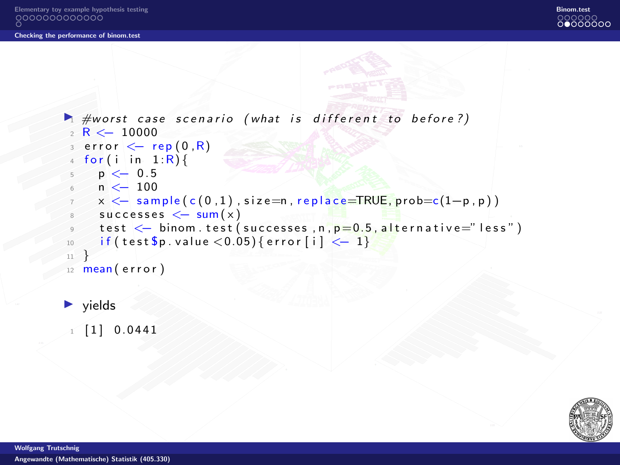```
\blacktriangleright #worst case scenario (what is different to before?)
  R < 10000error \leftarrow rep(0,R)for (i in 1:R) {
 p \leq 0.5n < 100x < - sample (c(0, 1), size=n, replace=TRUE, prob=c(1-p, p))
 \frac{8}{3} successes \leftarrow sum(x)
 test \leq binom . test (successes, n, p=0.5, alternative="less")
10 if ( test \$p . value < 0.05) { error [i] < - 1}
_{11}12 mean (error)
```
 $\blacktriangleright$  vields

 $1 \mid 1 \mid 0.0441$ 

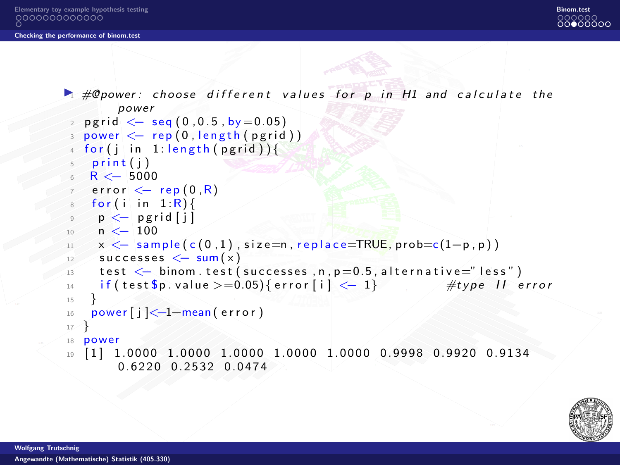

```
\blacktriangleright # @ power: choose different values for p in H1 and calculate the
         power
   perid \le - seg (0.0.5, bv = 0.05)_3 power \lt\!\!- rep (0 , length (\text{pgrid}) )
   for (j in 1: length (pgrid))5 print (i)R < -5000error \leq rep (0, R)\sim for (i in 1:R){
 9 \leq - pgrid [j]
10 \quad n \leq 10011 \times \leftarrow sample (c(0,1)), size=n, replace=TRUE, prob=c(1-p, p))
12 successes \leftarrow sum(x)13 test \leftarrow binom. test (successes, n, p=0.5, alternative="less")
14 if ( test \text{\$p.vallow {\text{all}}\geq 0.05\} { error [i ] < -1 } #type II error
15 }
_{16} power [ j ] < -1 - mean ( error )
17 }
18 power
19 [ 1 ] 1. 0 0 0 0 1. 0 0 0 0 1. 0 0 0 0 1. 0 0 0 0 1. 0 0 0 0 0. 9 9 9 8 0. 9 9 2 0 0. 9 1 3 4
         0. 6220 0.2532 0.0474
```
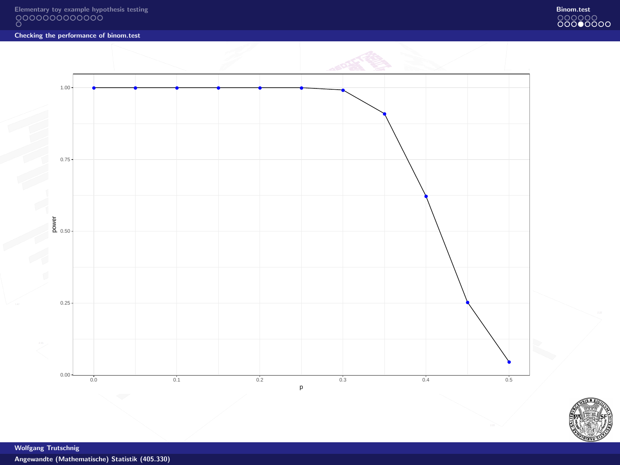



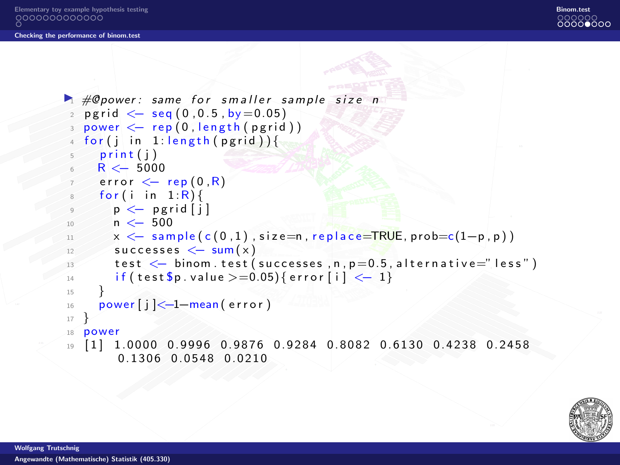[Elementary toy example hypothesis testing](#page-1-0) [Binom.test](#page-15-0)

#### [Checking the performance of binom.test](#page-21-0)



```
\blacktriangleright #@power: same for smaller sample size n
   p \text{ grid} \leftarrow \text{seq} (0, 0.5, \text{by} = 0.05)3 power \leftarrow rep (0, length(pgrid))for (j in 1: length (pgrid))print(i)R < -5000error \leftarrow rep(0, R)for ( i in 1 : R)p \leftarrow p p g r i d [i]n < -50011 x \leftarrow sample (c(0,1)), size=n, replace=TRUE, prob=c(1-p, p))
12 successes \leftarrow sum(x)13 test \leq binom . test (successes , n, p=0.5, alternative="less")
14 if ( test \$p. value >=0.05) { error [i] < - 1}
15 }
_{16} power [ j ] < -1 - mean ( error )
17 }
18 power
19 \quad 11 \quad 1.0000 \quad 0.9996 \quad 0.9876 \quad 0.9284 \quad 0.8082 \quad 0.6130 \quad 0.4238 \quad 0.24580. 1306 0. 0548 0. 0210
```
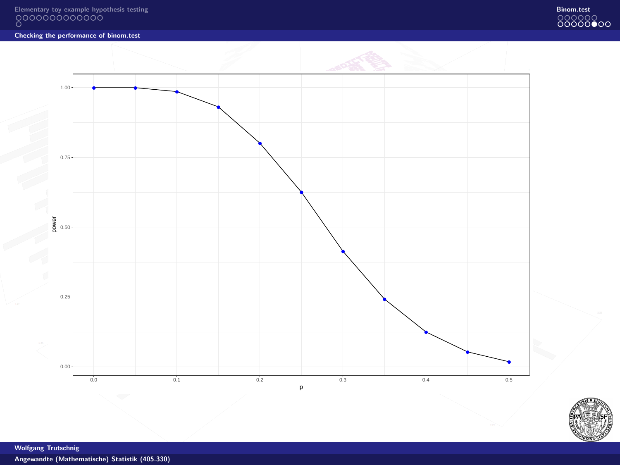



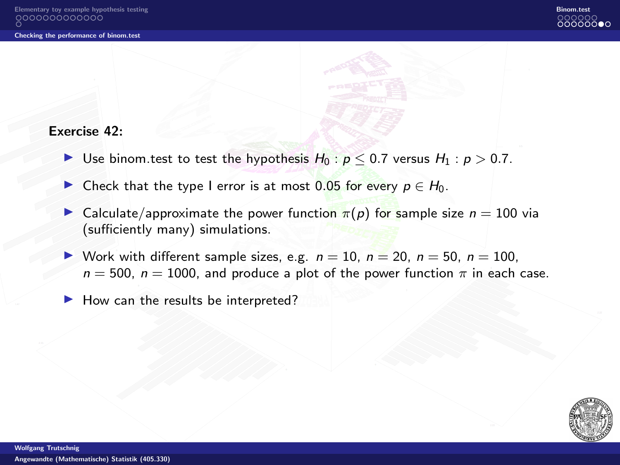#### Exercise 42:

- ▶ Use binom test to test the hypothesis  $H_0$  :  $p < 0.7$  versus  $H_1$  :  $p > 0.7$ .
- ▶ Check that the type I error is at most 0.05 for every  $p \in H_0$ .
- ► Calculate/approximate the power function  $\pi(p)$  for sample size  $n = 100$  via (sufficiently many) simulations.
- Work with different sample sizes, e.g.  $n = 10$ ,  $n = 20$ ,  $n = 50$ ,  $n = 100$ ,  $n = 500$ ,  $n = 1000$ , and produce a plot of the power function  $\pi$  in each case.
- ▶ How can the results be interpreted?